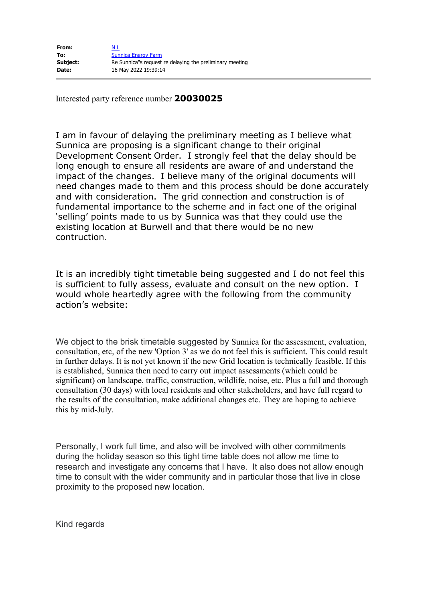| From:    | N L                                                      |
|----------|----------------------------------------------------------|
| To:      | <b>Sunnica Energy Farm</b>                               |
| Subject: | Re Sunnica"s request re delaying the preliminary meeting |
| Date:    | 16 May 2022 19:39:14                                     |

Interested party reference number **20030025**

I am in favour of delaying the preliminary meeting as I believe what Sunnica are proposing is a significant change to their original Development Consent Order. I strongly feel that the delay should be long enough to ensure all residents are aware of and understand the impact of the changes. I believe many of the original documents will need changes made to them and this process should be done accurately and with consideration. The grid connection and construction is of fundamental importance to the scheme and in fact one of the original 'selling' points made to us by Sunnica was that they could use the existing location at Burwell and that there would be no new contruction.

It is an incredibly tight timetable being suggested and I do not feel this is sufficient to fully assess, evaluate and consult on the new option. I would whole heartedly agree with the following from the community action's website:

We object to the brisk timetable suggested by Sunnica for the assessment, evaluation, consultation, etc, of the new 'Option 3' as we do not feel this is sufficient. This could result in further delays. It is not yet known if the new Grid location is technically feasible. If this is established, Sunnica then need to carry out impact assessments (which could be significant) on landscape, traffic, construction, wildlife, noise, etc. Plus a full and thorough consultation (30 days) with local residents and other stakeholders, and have full regard to the results of the consultation, make additional changes etc. They are hoping to achieve this by mid-July.

Personally, I work full time, and also will be involved with other commitments during the holiday season so this tight time table does not allow me time to research and investigate any concerns that I have. It also does not allow enough time to consult with the wider community and in particular those that live in close proximity to the proposed new location.

Kind regards